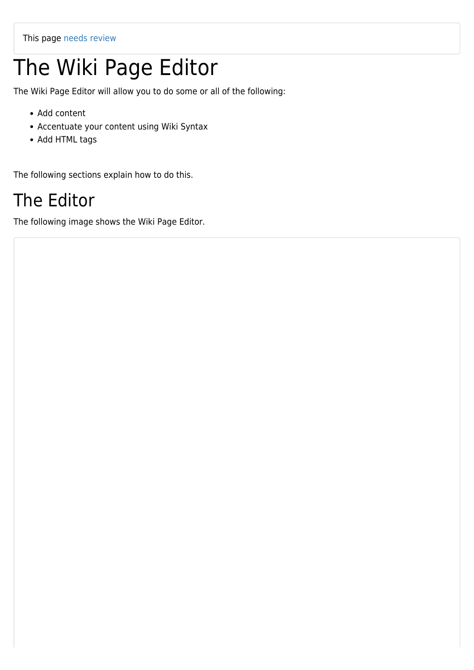## The Wiki Page Editor

The Wiki Page Editor will allow you to do some or all of the following:

- Add content
- Accentuate your content using Wiki Syntax
- Add HTML tags

The following sections explain how to do this.

## The Editor

The following image shows the Wiki Page Editor.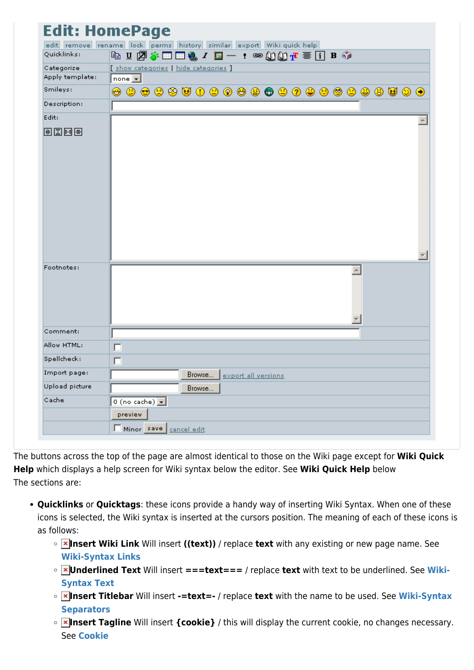| <b>Edit: HomePage</b>                                                |                                       |
|----------------------------------------------------------------------|---------------------------------------|
| edit remove rename lock perms history similar export Wiki quick help |                                       |
| Quicklinks:                                                          |                                       |
| Categorize                                                           | [ show categories   hide categories ] |
| Apply template:                                                      | $ $ none $ $                          |
| Smileys:                                                             | ⊖                                     |
| Description:                                                         |                                       |
| Edit:                                                                |                                       |
| 电图网画                                                                 |                                       |
| Footnotes:                                                           | A.                                    |
| Comment:                                                             |                                       |
| Allow HTML:                                                          | п                                     |
| Spellcheck:                                                          | П                                     |
| Import page:                                                         | Browse export all versions            |
| Upload picture                                                       | Browse                                |
| Cache                                                                | 0 (no cache) $\boxed{\bullet}$        |
|                                                                      | preview                               |
|                                                                      | Minor save cancel edit                |

The buttons across the top of the page are almost identical to those on the Wiki page except for **Wiki Quick Help** which displays a help screen for Wiki syntax below the editor. See **Wiki Quick Help** below The sections are:

- **Quicklinks** or **Quicktags**: these icons provide a handy way of inserting Wiki Syntax. When one of these icons is selected, the Wiki syntax is inserted at the cursors position. The meaning of each of these icons is as follows:
	- **Insert Wiki Link** Will insert **((text))** / replace **text** with any existing or new page name. See **[Wiki-Syntax Links](https://doc.tiki.org/Wiki-Syntax-Links)**
	- **Underlined Text** Will insert **===text===** / replace **text** with text to be underlined. See **[Wiki-](https://doc.tiki.org/Wiki-Syntax-Text)[Syntax Text](https://doc.tiki.org/Wiki-Syntax-Text)**
	- **Insert Titlebar** Will insert **-=text=-** / replace **text** with the name to be used. See **[Wiki-Syntax](https://doc.tiki.org/Wiki-Syntax-Separators) [Separators](https://doc.tiki.org/Wiki-Syntax-Separators)**
	- **Insert Tagline** Will insert **{cookie}** / this will display the current cookie, no changes necessary. See **[Cookie](https://doc.tiki.org/Cookie)**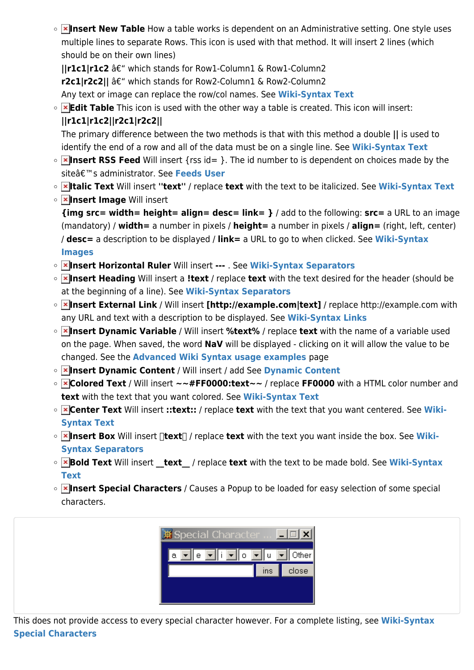**IX Insert New Table** How a table works is dependent on an Administrative setting. One style uses multiple lines to separate Rows. This icon is used with that method. It will insert 2 lines (which should be on their own lines)

**||r1c1|r1c2** â€" which stands for Row1-Column1 & Row1-Column2

**r2c1|r2c2|| â€**" which stands for Row2-Column1 & Row2-Column2

Any text or image can replace the row/col names. See **[Wiki-Syntax Text](https://doc.tiki.org/Wiki-Syntax-Text)**

**Edit Table** This icon is used with the other way a table is created. This icon will insert: **||r1c1|r1c2||r2c1|r2c2||**

The primary difference between the two methods is that with this method a double **||** is used to identify the end of a row and all of the data must be on a single line. See **[Wiki-Syntax Text](https://doc.tiki.org/Wiki-Syntax-Text)**

- **Insert RSS Feed** Will insert {rss id= }. The id number to is dependent on choices made by the siteâ€<sup>™</sup>s administrator. See [Feeds User](https://doc.tiki.org/Feeds-User)
- **Italic Text** Will insert **''text''** / replace **text** with the text to be italicized. See **[Wiki-Syntax Text](https://doc.tiki.org/Wiki-Syntax-Text)**
- **Insert Image** Will insert **{img src= width= height= align= desc= link= }** / add to the following: **src=** a URL to an image (mandatory) / **width=** a number in pixels / **height=** a number in pixels / **align=** (right, left, center) / **desc=** a description to be displayed / **link=** a URL to go to when clicked. See **[Wiki-Syntax](https://doc.tiki.org/Wiki-Syntax-Images) [Images](https://doc.tiki.org/Wiki-Syntax-Images)**
- **Insert Horizontal Ruler** Will insert **---** . See **[Wiki-Syntax Separators](https://doc.tiki.org/Wiki-Syntax-Separators)**
- **Insert Heading** Will insert a **!text** / replace **text** with the text desired for the header (should be at the beginning of a line). See **[Wiki-Syntax Separators](https://doc.tiki.org/Wiki-Syntax-Separators)**
- **Insert External Link** / Will insert **[http://example.com|text]** / replace http://example.com with any URL and text with a description to be displayed. See **[Wiki-Syntax Links](https://doc.tiki.org/Wiki-Syntax-Links)**
- **Insert Dynamic Variable** / Will insert **%text%** / replace **text** with the name of a variable used on the page. When saved, the word **NaV** will be displayed - clicking on it will allow the value to be changed. See the **[Advanced Wiki Syntax usage examples](https://doc.tiki.org/Advanced-Wiki-Syntax-usage-examples)** page
- **Insert Dynamic Content** / Will insert / add See **[Dynamic Content](https://doc.tiki.org/Dynamic-Content)**
- **Colored Text** / Will insert **~~#FF0000:text~~** / replace **FF0000** with a HTML color number and **text** with the text that you want colored. See **[Wiki-Syntax Text](https://doc.tiki.org/Wiki-Syntax-Text)**
- **Center Text** Will insert **::text::** / replace **text** with the text that you want centered. See **[Wiki-](https://doc.tiki.org/Wiki-Syntax-Text)[Syntax Text](https://doc.tiki.org/Wiki-Syntax-Text)**
- **<u>Ex</u>** Insert Box Will insert []text | / replace text with the text you want inside the box. See [Wiki-](https://doc.tiki.org/Wiki-Syntax-Separators)**[Syntax Separators](https://doc.tiki.org/Wiki-Syntax-Separators)**
- **Bold Text** Will insert **text** / replace **text** with the text to be made bold. See [Wiki-Syntax](https://doc.tiki.org/Wiki-Syntax-Text) **[Text](https://doc.tiki.org/Wiki-Syntax-Text)**
- **Insert Special Characters** / Causes a Popup to be loaded for easy selection of some special characters.



This does not provide access to every special character however. For a complete listing, see **[Wiki-Syntax](https://doc.tiki.org/Wiki-Syntax-Special-Characters) [Special Characters](https://doc.tiki.org/Wiki-Syntax-Special-Characters)**